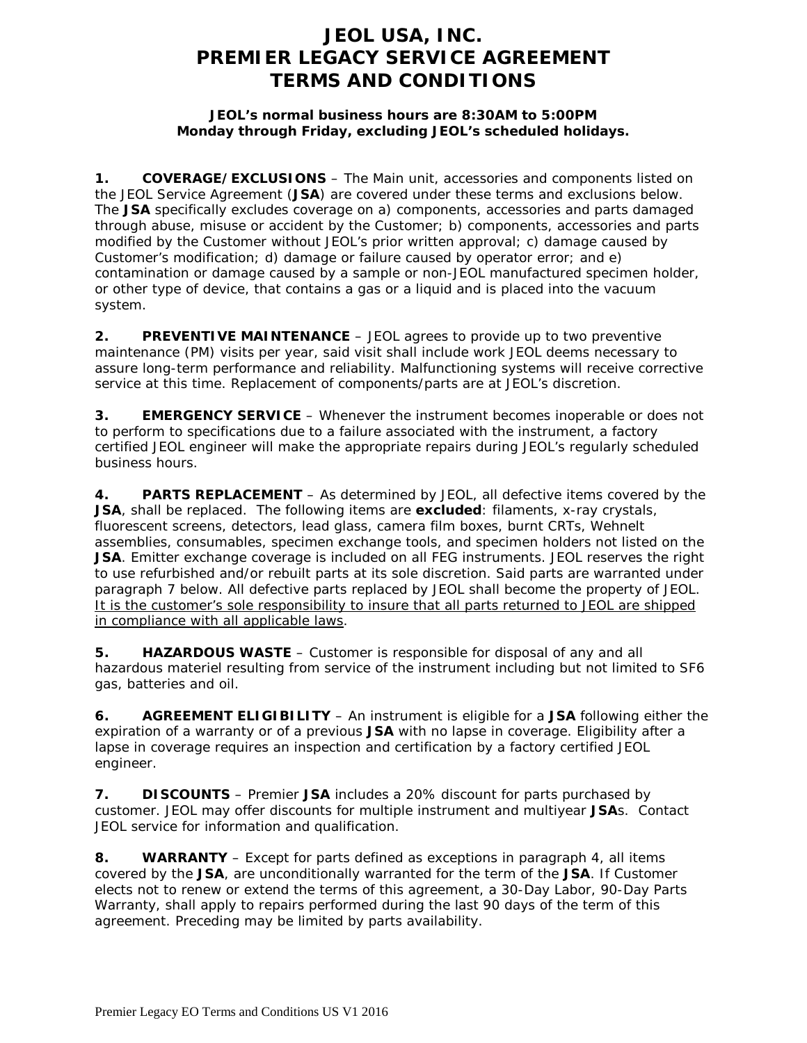# **JEOL USA, INC. PREMIER LEGACY SERVICE AGREEMENT TERMS AND CONDITIONS**

### **JEOL's normal business hours are 8:30AM to 5:00PM Monday through Friday, excluding JEOL's scheduled holidays.**

**1. COVERAGE/EXCLUSIONS** – The Main unit, accessories and components listed on the JEOL Service Agreement (**JSA**) are covered under these terms and exclusions below. The **JSA** specifically excludes coverage on a) components, accessories and parts damaged through abuse, misuse or accident by the Customer; b) components, accessories and parts modified by the Customer without JEOL's prior written approval; c) damage caused by Customer's modification; d) damage or failure caused by operator error; and e) contamination or damage caused by a sample or non-JEOL manufactured specimen holder, or other type of device, that contains a gas or a liquid and is placed into the vacuum system.

**2. PREVENTIVE MAINTENANCE** – JEOL agrees to provide up to two preventive maintenance (PM) visits per year, said visit shall include work JEOL deems necessary to assure long-term performance and reliability. Malfunctioning systems will receive corrective service at this time. Replacement of components/parts are at JEOL's discretion.

**3. EMERGENCY SERVICE** – Whenever the instrument becomes inoperable or does not to perform to specifications due to a failure associated with the instrument, a factory certified JEOL engineer will make the appropriate repairs during JEOL's regularly scheduled business hours.

**4. PARTS REPLACEMENT** – As determined by JEOL, all defective items covered by the **JSA**, shall be replaced. The following items are **excluded**: filaments, x-ray crystals, fluorescent screens, detectors, lead glass, camera film boxes, burnt CRTs, Wehnelt assemblies, consumables, specimen exchange tools, and specimen holders not listed on the **JSA**. Emitter exchange coverage is included on all FEG instruments. JEOL reserves the right to use refurbished and/or rebuilt parts at its sole discretion. Said parts are warranted under paragraph 7 below. All defective parts replaced by JEOL shall become the property of JEOL. It is the customer's sole responsibility to insure that all parts returned to JEOL are shipped in compliance with all applicable laws.

**5. HAZARDOUS WASTE** – Customer is responsible for disposal of any and all hazardous materiel resulting from service of the instrument including but not limited to SF6 gas, batteries and oil.

**6. AGREEMENT ELIGIBILITY** – An instrument is eligible for a **JSA** following either the expiration of a warranty or of a previous **JSA** with no lapse in coverage. Eligibility after a lapse in coverage requires an inspection and certification by a factory certified JEOL engineer.

**7. DISCOUNTS** – Premier **JSA** includes a 20% discount for parts purchased by customer. JEOL may offer discounts for multiple instrument and multiyear **JSA**s. Contact JEOL service for information and qualification.

**8. WARRANTY** – Except for parts defined as exceptions in paragraph 4, all items covered by the **JSA**, are unconditionally warranted for the term of the **JSA**. If Customer elects not to renew or extend the terms of this agreement, a 30-Day Labor, 90-Day Parts Warranty, shall apply to repairs performed during the last 90 days of the term of this agreement. Preceding may be limited by parts availability.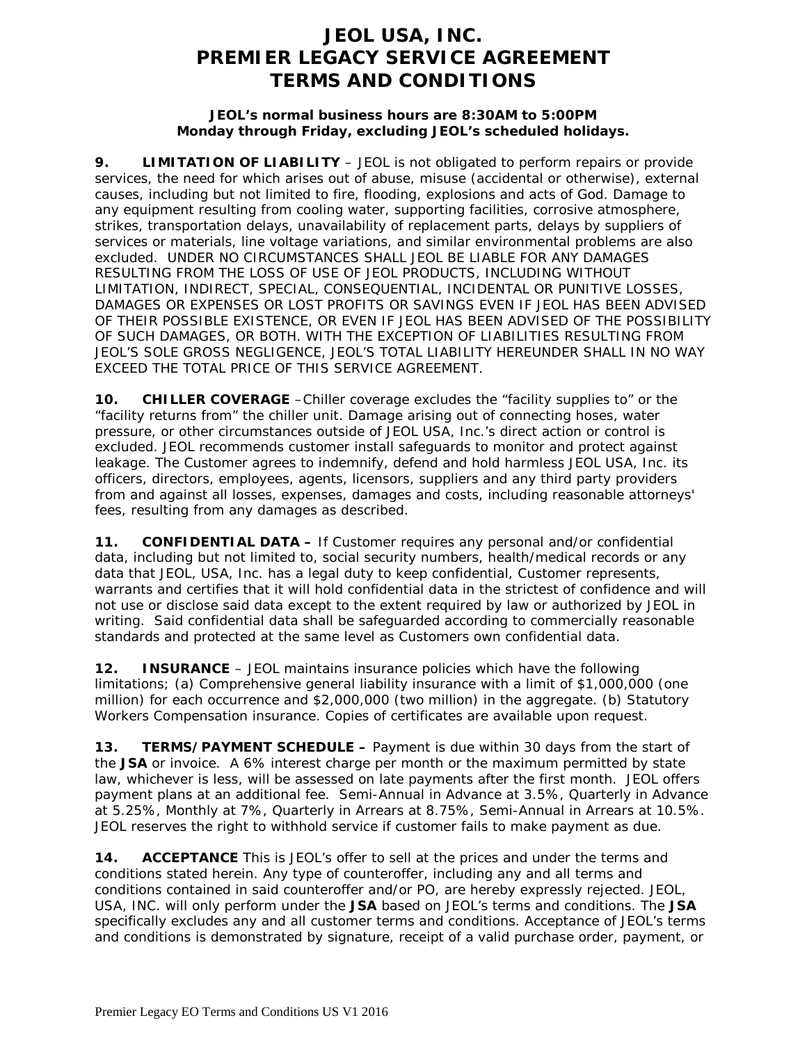# **JEOL USA, INC. PREMIER LEGACY SERVICE AGREEMENT TERMS AND CONDITIONS**

#### **JEOL's normal business hours are 8:30AM to 5:00PM Monday through Friday, excluding JEOL's scheduled holidays.**

**9. LIMITATION OF LIABILITY** – JEOL is not obligated to perform repairs or provide services, the need for which arises out of abuse, misuse (accidental or otherwise), external causes, including but not limited to fire, flooding, explosions and acts of God. Damage to any equipment resulting from cooling water, supporting facilities, corrosive atmosphere, strikes, transportation delays, unavailability of replacement parts, delays by suppliers of services or materials, line voltage variations, and similar environmental problems are also excluded. UNDER NO CIRCUMSTANCES SHALL JEOL BE LIABLE FOR ANY DAMAGES RESULTING FROM THE LOSS OF USE OF JEOL PRODUCTS, INCLUDING WITHOUT LIMITATION, INDIRECT, SPECIAL, CONSEQUENTIAL, INCIDENTAL OR PUNITIVE LOSSES, DAMAGES OR EXPENSES OR LOST PROFITS OR SAVINGS EVEN IF JEOL HAS BEEN ADVISED OF THEIR POSSIBLE EXISTENCE, OR EVEN IF JEOL HAS BEEN ADVISED OF THE POSSIBILITY OF SUCH DAMAGES, OR BOTH. WITH THE EXCEPTION OF LIABILITIES RESULTING FROM JEOL'S SOLE GROSS NEGLIGENCE, JEOL'S TOTAL LIABILITY HEREUNDER SHALL IN NO WAY EXCEED THE TOTAL PRICE OF THIS SERVICE AGREEMENT.

**10. CHILLER COVERAGE** –Chiller coverage excludes the "facility supplies to" or the "facility returns from" the chiller unit. Damage arising out of connecting hoses, water pressure, or other circumstances outside of JEOL USA, Inc.'s direct action or control is excluded. JEOL recommends customer install safeguards to monitor and protect against leakage. The Customer agrees to indemnify, defend and hold harmless JEOL USA, Inc. its officers, directors, employees, agents, licensors, suppliers and any third party providers from and against all losses, expenses, damages and costs, including reasonable attorneys' fees, resulting from any damages as described.

**11. CONFIDENTIAL DATA –** If Customer requires any personal and/or confidential data, including but not limited to, social security numbers, health/medical records or any data that JEOL, USA, Inc. has a legal duty to keep confidential, Customer represents, warrants and certifies that it will hold confidential data in the strictest of confidence and will not use or disclose said data except to the extent required by law or authorized by JEOL in writing. Said confidential data shall be safeguarded according to commercially reasonable standards and protected at the same level as Customers own confidential data.

**12. INSURANCE** – JEOL maintains insurance policies which have the following limitations; (a) Comprehensive general liability insurance with a limit of \$1,000,000 (one million) for each occurrence and \$2,000,000 (two million) in the aggregate. (b) Statutory Workers Compensation insurance. Copies of certificates are available upon request.

**13. TERMS/PAYMENT SCHEDULE –** Payment is due within 30 days from the start of the **JSA** or invoice. A 6% interest charge per month or the maximum permitted by state law, whichever is less, will be assessed on late payments after the first month. JEOL offers payment plans at an additional fee. Semi-Annual in Advance at 3.5%, Quarterly in Advance at 5.25%, Monthly at 7%, Quarterly in Arrears at 8.75%, Semi-Annual in Arrears at 10.5%. JEOL reserves the right to withhold service if customer fails to make payment as due.

**14. ACCEPTANCE** This is JEOL's offer to sell at the prices and under the terms and conditions stated herein. Any type of counteroffer, including any and all terms and conditions contained in said counteroffer and/or PO, are hereby expressly rejected. JEOL, USA, INC. will only perform under the **JSA** based on JEOL's terms and conditions. The **JSA** specifically excludes any and all customer terms and conditions. Acceptance of JEOL's terms and conditions is demonstrated by signature, receipt of a valid purchase order, payment, or